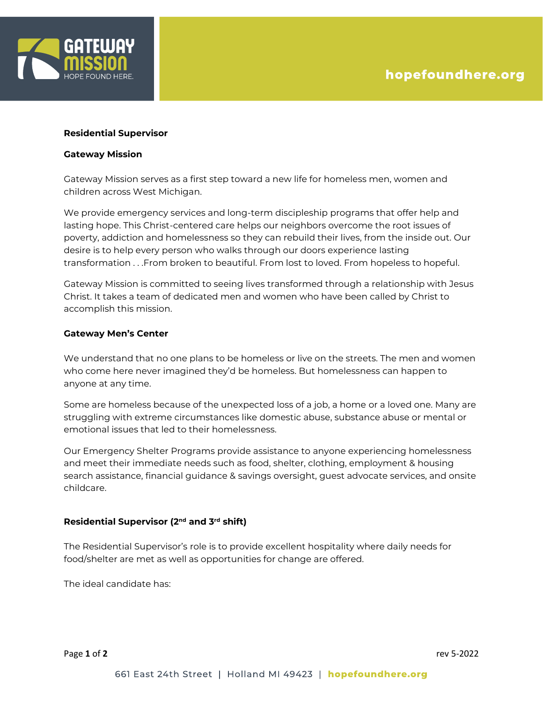

#### **Residential Supervisor**

#### **Gateway Mission**

Gateway Mission serves as a first step toward a new life for homeless men, women and children across West Michigan.

We provide emergency services and long-term discipleship programs that offer help and lasting hope. This Christ-centered care helps our neighbors overcome the root issues of poverty, addiction and homelessness so they can rebuild their lives, from the inside out. Our desire is to help every person who walks through our doors experience lasting transformation . . .From broken to beautiful. From lost to loved. From hopeless to hopeful.

Gateway Mission is committed to seeing lives transformed through a relationship with Jesus Christ. It takes a team of dedicated men and women who have been called by Christ to accomplish this mission.

# **Gateway Men's Center**

We understand that no one plans to be homeless or live on the streets. The men and women who come here never imagined they'd be homeless. But homelessness can happen to anyone at any time.

Some are homeless because of the unexpected loss of a job, a home or a loved one. Many are struggling with extreme circumstances like domestic abuse, substance abuse or mental or emotional issues that led to their homelessness.

Our Emergency Shelter Programs provide assistance to anyone experiencing homelessness and meet their immediate needs such as food, shelter, clothing, employment & housing search assistance, financial guidance & savings oversight, guest advocate services, and onsite childcare.

# **Residential Supervisor (2nd and 3rd shift)**

The Residential Supervisor's role is to provide excellent hospitality where daily needs for food/shelter are met as well as opportunities for change are offered.

The ideal candidate has: